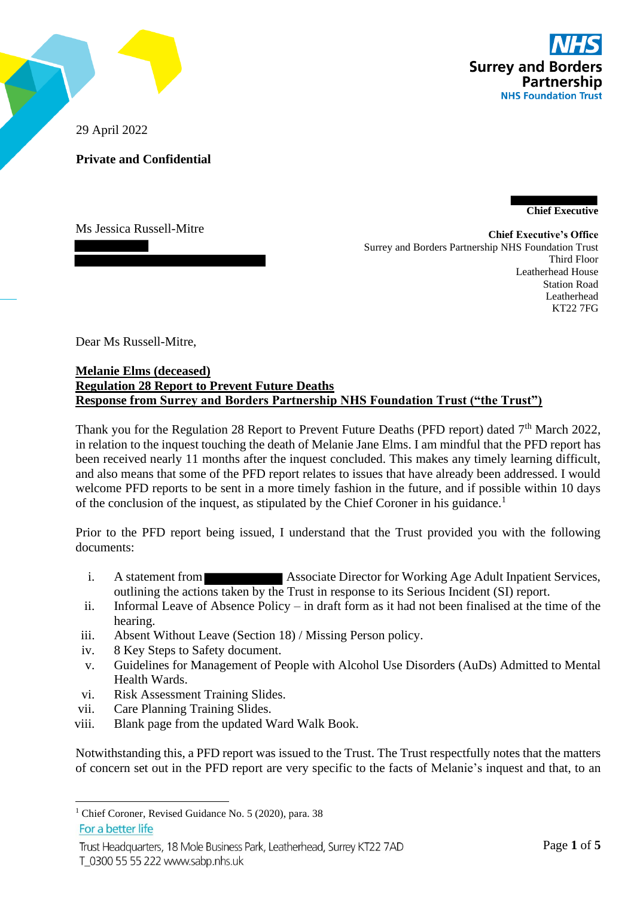

29 April 2022

**Private and Confidential**

**Chief Executive**

Ms Jessica Russell-Mitre

**Chief Executive's Office** Surrey and Borders Partnership NHS Foundation Trust Third Floor Leatherhead House Station Road Leatherhead KT22 7FG

Dear Ms Russell-Mitre,

## **Melanie Elms (deceased) Regulation 28 Report to Prevent Future Deaths Response from Surrey and Borders Partnership NHS Foundation Trust ("the Trust")**

Thank you for the Regulation 28 Report to Prevent Future Deaths (PFD report) dated 7<sup>th</sup> March 2022, in relation to the inquest touching the death of Melanie Jane Elms. I am mindful that the PFD report has been received nearly 11 months after the inquest concluded. This makes any timely learning difficult, and also means that some of the PFD report relates to issues that have already been addressed. I would welcome PFD reports to be sent in a more timely fashion in the future, and if possible within 10 days of the conclusion of the inquest, as stipulated by the Chief Coroner in his guidance.<sup>1</sup>

Prior to the PFD report being issued, I understand that the Trust provided you with the following documents:

- i. A statement from **Associate Director for Working Age Adult Inpatient Services,** outlining the actions taken by the Trust in response to its Serious Incident (SI) report.
- ii. Informal Leave of Absence Policy in draft form as it had not been finalised at the time of the hearing.
- iii. Absent Without Leave (Section 18) / Missing Person policy.
- iv. 8 Key Steps to Safety document.
- v. Guidelines for Management of People with Alcohol Use Disorders (AuDs) Admitted to Mental Health Wards.
- vi. Risk Assessment Training Slides.
- vii. Care Planning Training Slides.
- viii. Blank page from the updated Ward Walk Book.

Notwithstanding this, a PFD report was issued to the Trust. The Trust respectfully notes that the matters of concern set out in the PFD report are very specific to the facts of Melanie's inquest and that, to an

Trust Headquarters, 18 Mole Business Park, Leatherhead, Surrey KT22 7AD T 0300 55 55 222 www.sabp.nhs.uk

<sup>&</sup>lt;sup>1</sup> Chief Coroner, Revised Guidance No. 5 (2020), para. 38 For a better life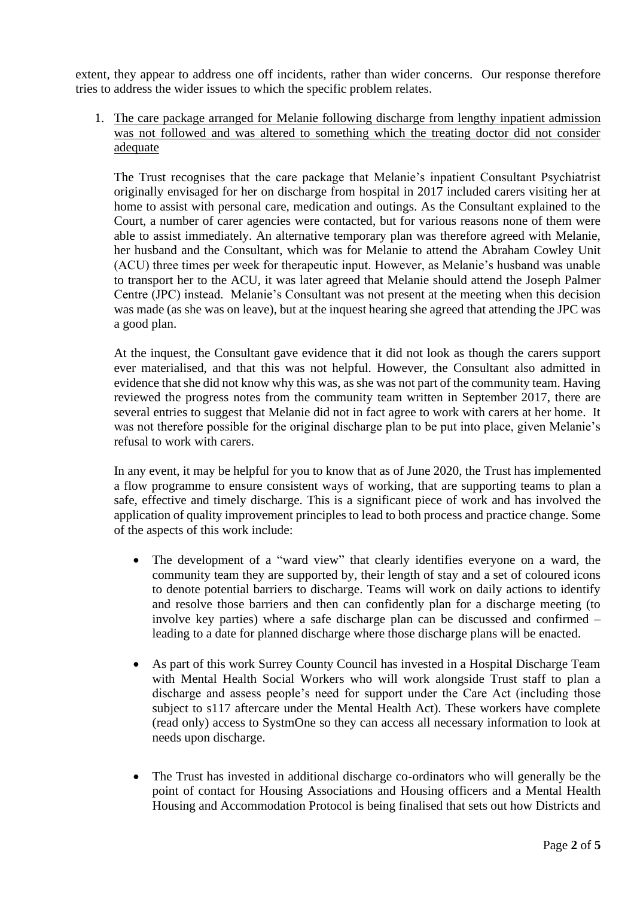extent, they appear to address one off incidents, rather than wider concerns. Our response therefore tries to address the wider issues to which the specific problem relates.

1. The care package arranged for Melanie following discharge from lengthy inpatient admission was not followed and was altered to something which the treating doctor did not consider adequate

The Trust recognises that the care package that Melanie's inpatient Consultant Psychiatrist originally envisaged for her on discharge from hospital in 2017 included carers visiting her at home to assist with personal care, medication and outings. As the Consultant explained to the Court, a number of carer agencies were contacted, but for various reasons none of them were able to assist immediately. An alternative temporary plan was therefore agreed with Melanie, her husband and the Consultant, which was for Melanie to attend the Abraham Cowley Unit (ACU) three times per week for therapeutic input. However, as Melanie's husband was unable to transport her to the ACU, it was later agreed that Melanie should attend the Joseph Palmer Centre (JPC) instead. Melanie's Consultant was not present at the meeting when this decision was made (as she was on leave), but at the inquest hearing she agreed that attending the JPC was a good plan.

At the inquest, the Consultant gave evidence that it did not look as though the carers support ever materialised, and that this was not helpful. However, the Consultant also admitted in evidence that she did not know why this was, as she was not part of the community team. Having reviewed the progress notes from the community team written in September 2017, there are several entries to suggest that Melanie did not in fact agree to work with carers at her home. It was not therefore possible for the original discharge plan to be put into place, given Melanie's refusal to work with carers.

In any event, it may be helpful for you to know that as of June 2020, the Trust has implemented a flow programme to ensure consistent ways of working, that are supporting teams to plan a safe, effective and timely discharge. This is a significant piece of work and has involved the application of quality improvement principles to lead to both process and practice change. Some of the aspects of this work include:

- The development of a "ward view" that clearly identifies everyone on a ward, the community team they are supported by, their length of stay and a set of coloured icons to denote potential barriers to discharge. Teams will work on daily actions to identify and resolve those barriers and then can confidently plan for a discharge meeting (to involve key parties) where a safe discharge plan can be discussed and confirmed – leading to a date for planned discharge where those discharge plans will be enacted.
- As part of this work Surrey County Council has invested in a Hospital Discharge Team with Mental Health Social Workers who will work alongside Trust staff to plan a discharge and assess people's need for support under the Care Act (including those subject to s117 aftercare under the Mental Health Act). These workers have complete (read only) access to SystmOne so they can access all necessary information to look at needs upon discharge.
- The Trust has invested in additional discharge co-ordinators who will generally be the point of contact for Housing Associations and Housing officers and a Mental Health Housing and Accommodation Protocol is being finalised that sets out how Districts and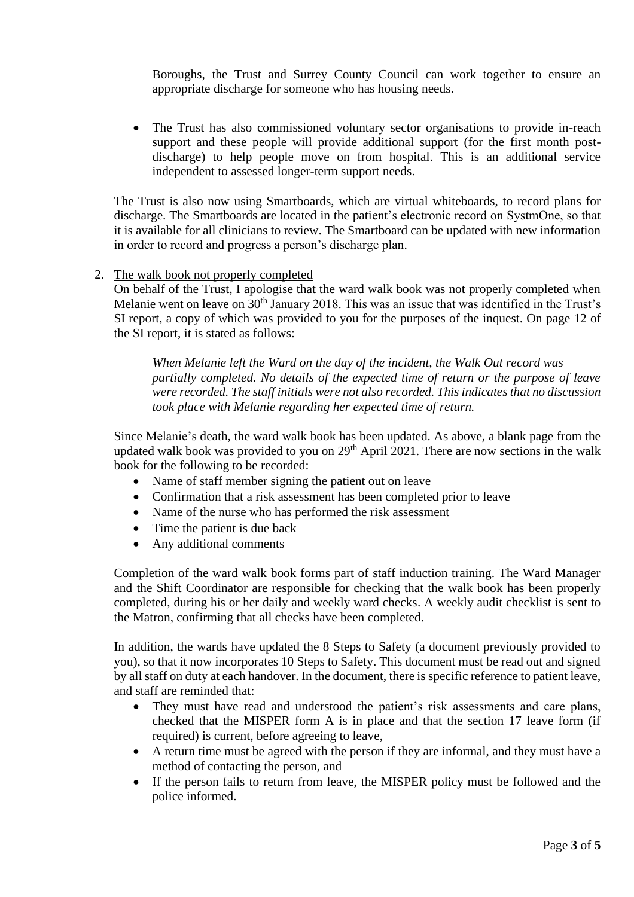Boroughs, the Trust and Surrey County Council can work together to ensure an appropriate discharge for someone who has housing needs.

• The Trust has also commissioned voluntary sector organisations to provide in-reach support and these people will provide additional support (for the first month postdischarge) to help people move on from hospital. This is an additional service independent to assessed longer-term support needs.

The Trust is also now using Smartboards, which are virtual whiteboards, to record plans for discharge. The Smartboards are located in the patient's electronic record on SystmOne, so that it is available for all clinicians to review. The Smartboard can be updated with new information in order to record and progress a person's discharge plan.

2. The walk book not properly completed

On behalf of the Trust, I apologise that the ward walk book was not properly completed when Melanie went on leave on  $30<sup>th</sup>$  January 2018. This was an issue that was identified in the Trust's SI report, a copy of which was provided to you for the purposes of the inquest. On page 12 of the SI report, it is stated as follows:

*When Melanie left the Ward on the day of the incident, the Walk Out record was partially completed. No details of the expected time of return or the purpose of leave were recorded. The staff initials were not also recorded. This indicates that no discussion took place with Melanie regarding her expected time of return.*

Since Melanie's death, the ward walk book has been updated. As above, a blank page from the updated walk book was provided to you on  $29<sup>th</sup>$  April 2021. There are now sections in the walk book for the following to be recorded:

- Name of staff member signing the patient out on leave
- Confirmation that a risk assessment has been completed prior to leave
- Name of the nurse who has performed the risk assessment
- Time the patient is due back
- Any additional comments

Completion of the ward walk book forms part of staff induction training. The Ward Manager and the Shift Coordinator are responsible for checking that the walk book has been properly completed, during his or her daily and weekly ward checks. A weekly audit checklist is sent to the Matron, confirming that all checks have been completed.

In addition, the wards have updated the 8 Steps to Safety (a document previously provided to you), so that it now incorporates 10 Steps to Safety. This document must be read out and signed by all staff on duty at each handover. In the document, there is specific reference to patient leave, and staff are reminded that:

- They must have read and understood the patient's risk assessments and care plans, checked that the MISPER form A is in place and that the section 17 leave form (if required) is current, before agreeing to leave,
- A return time must be agreed with the person if they are informal, and they must have a method of contacting the person, and
- If the person fails to return from leave, the MISPER policy must be followed and the police informed.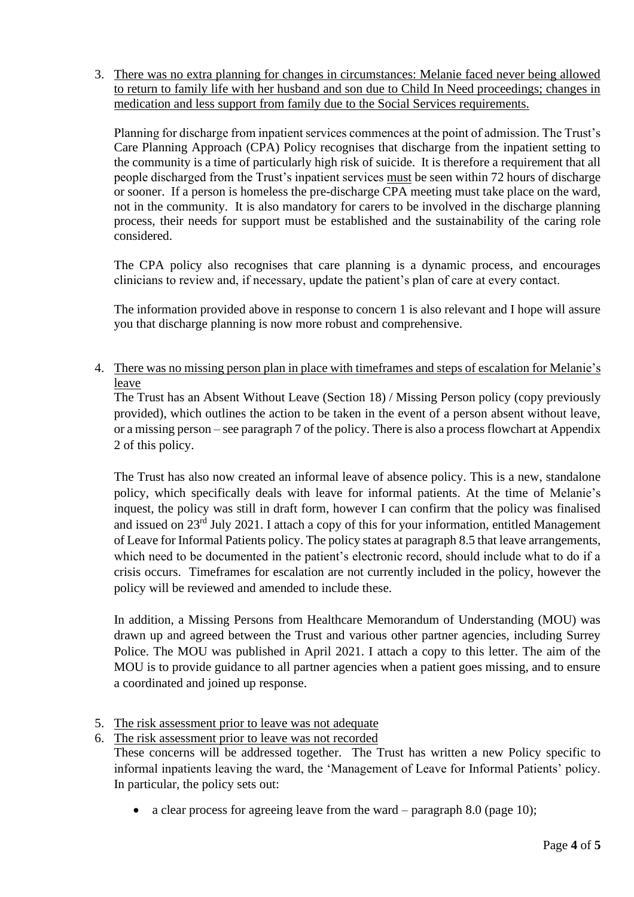3. There was no extra planning for changes in circumstances: Melanie faced never being allowed to return to family life with her husband and son due to Child In Need proceedings; changes in medication and less support from family due to the Social Services requirements.

Planning for discharge from inpatient services commences at the point of admission. The Trust's Care Planning Approach (CPA) Policy recognises that discharge from the inpatient setting to the community is a time of particularly high risk of suicide. It is therefore a requirement that all people discharged from the Trust's inpatient services must be seen within 72 hours of discharge or sooner. If a person is homeless the pre-discharge CPA meeting must take place on the ward, not in the community. It is also mandatory for carers to be involved in the discharge planning process, their needs for support must be established and the sustainability of the caring role considered.

The CPA policy also recognises that care planning is a dynamic process, and encourages clinicians to review and, if necessary, update the patient's plan of care at every contact.

The information provided above in response to concern 1 is also relevant and I hope will assure you that discharge planning is now more robust and comprehensive.

4. There was no missing person plan in place with timeframes and steps of escalation for Melanie's leave

The Trust has an Absent Without Leave (Section 18) / Missing Person policy (copy previously provided), which outlines the action to be taken in the event of a person absent without leave, or a missing person – see paragraph 7 of the policy. There is also a process flowchart at Appendix 2 of this policy.

The Trust has also now created an informal leave of absence policy. This is a new, standalone policy, which specifically deals with leave for informal patients. At the time of Melanie's inquest, the policy was still in draft form, however I can confirm that the policy was finalised and issued on 23<sup>rd</sup> July 2021. I attach a copy of this for your information, entitled Management of Leave for Informal Patients policy. The policy states at paragraph 8.5 that leave arrangements, which need to be documented in the patient's electronic record, should include what to do if a crisis occurs. Timeframes for escalation are not currently included in the policy, however the policy will be reviewed and amended to include these.

In addition, a Missing Persons from Healthcare Memorandum of Understanding (MOU) was drawn up and agreed between the Trust and various other partner agencies, including Surrey Police. The MOU was published in April 2021. I attach a copy to this letter. The aim of the MOU is to provide guidance to all partner agencies when a patient goes missing, and to ensure a coordinated and joined up response.

5. The risk assessment prior to leave was not adequate

6. The risk assessment prior to leave was not recorded

These concerns will be addressed together. The Trust has written a new Policy specific to informal inpatients leaving the ward, the 'Management of Leave for Informal Patients' policy. In particular, the policy sets out:

• a clear process for agreeing leave from the ward – paragraph  $8.0$  (page 10);